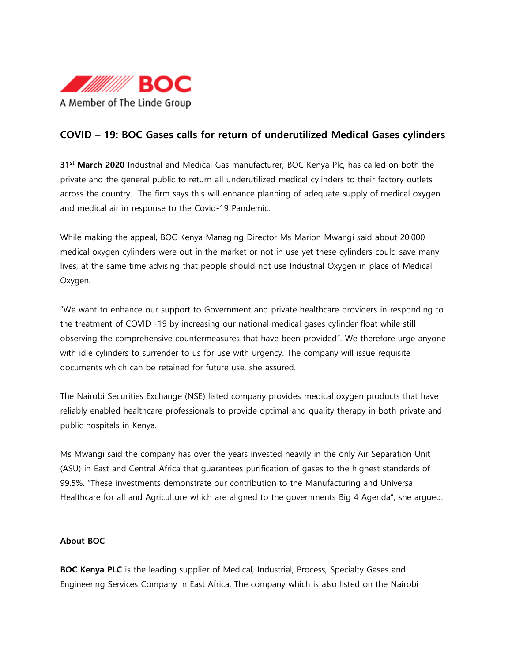

# **COVID – 19: BOC Gases calls for return of underutilized Medical Gases cylinders**

**31st March 2020** Industrial and Medical Gas manufacturer, BOC Kenya Plc, has called on both the private and the general public to return all underutilized medical cylinders to their factory outlets across the country. The firm says this will enhance planning of adequate supply of medical oxygen and medical air in response to the Covid-19 Pandemic.

While making the appeal, BOC Kenya Managing Director Ms Marion Mwangi said about 20,000 medical oxygen cylinders were out in the market or not in use yet these cylinders could save many lives, at the same time advising that people should not use Industrial Oxygen in place of Medical Oxygen.

"We want to enhance our support to Government and private healthcare providers in responding to the treatment of COVID -19 by increasing our national medical gases cylinder float while still observing the comprehensive countermeasures that have been provided". We therefore urge anyone with idle cylinders to surrender to us for use with urgency. The company will issue requisite documents which can be retained for future use, she assured.

The Nairobi Securities Exchange (NSE) listed company provides medical oxygen products that have reliably enabled healthcare professionals to provide optimal and quality therapy in both private and public hospitals in Kenya.

Ms Mwangi said the company has over the years invested heavily in the only Air Separation Unit (ASU) in East and Central Africa that guarantees purification of gases to the highest standards of 99.5%. "These investments demonstrate our contribution to the Manufacturing and Universal Healthcare for all and Agriculture which are aligned to the governments Big 4 Agenda", she argued.

### **About BOC**

**BOC Kenya PLC** is the leading supplier of Medical, Industrial, Process, Specialty Gases and Engineering Services Company in East Africa. The company which is also listed on the Nairobi